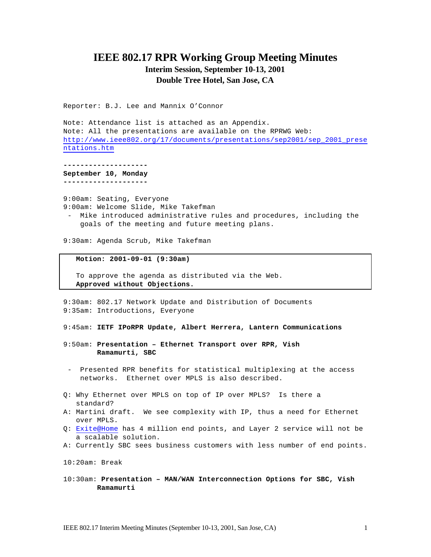# **IEEE 802.17 RPR Working Group Meeting Minutes**

## **Interim Session, September 10-13, 2001 Double Tree Hotel, San Jose, CA**

Reporter: B.J. Lee and Mannix O'Connor

Note: Attendance list is attached as an Appendix. Note: All the presentations are available on the RPRWG Web: http://www.ieee802.org/17/documents/presentations/sep2001/sep\_2001\_prese ntations.htm

**-------------------- September 10, Monday --------------------**

9:00am: Seating, Everyone 9:00am: Welcome Slide, Mike Takefman

- Mike introduced administrative rules and procedures, including the goals of the meeting and future meeting plans.

9:30am: Agenda Scrub, Mike Takefman

 **Motion: 2001-09-01 (9:30am)**

 To approve the agenda as distributed via the Web. **Approved without Objections.**

9:30am: 802.17 Network Update and Distribution of Documents 9:35am: Introductions, Everyone

9:45am: **IETF IPoRPR Update, Albert Herrera, Lantern Communications**

- 9:50am: **Presentation Ethernet Transport over RPR, Vish Ramamurti, SBC**
- Presented RPR benefits for statistical multiplexing at the access networks. Ethernet over MPLS is also described.
- Q: Why Ethernet over MPLS on top of IP over MPLS? Is there a standard?
- A: Martini draft. We see complexity with IP, thus a need for Ethernet over MPLS.
- Q: Exite@Home has 4 million end points, and Layer 2 service will not be a scalable solution.
- A: Currently SBC sees business customers with less number of end points.

10:20am: Break

10:30am: **Presentation – MAN/WAN Interconnection Options for SBC, Vish Ramamurti**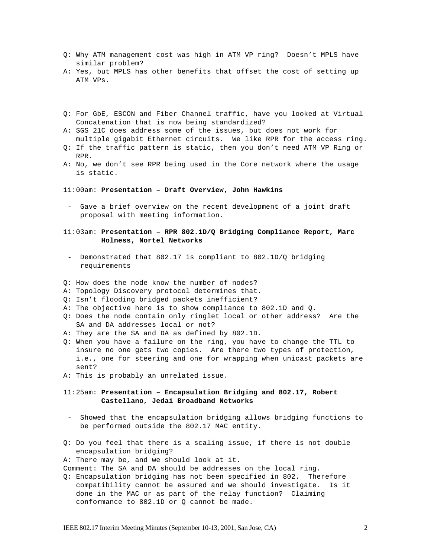- Q: Why ATM management cost was high in ATM VP ring? Doesn't MPLS have similar problem?
- A: Yes, but MPLS has other benefits that offset the cost of setting up ATM VPs.
- Q: For GbE, ESCON and Fiber Channel traffic, have you looked at Virtual Concatenation that is now being standardized?
- A: SGS 21C does address some of the issues, but does not work for multiple gigabit Ethernet circuits. We like RPR for the access ring.
- Q: If the traffic pattern is static, then you don't need ATM VP Ring or RPR.
- A: No, we don't see RPR being used in the Core network where the usage is static.
- 11:00am: **Presentation Draft Overview, John Hawkins**
- Gave a brief overview on the recent development of a joint draft proposal with meeting information.

### 11:03am: **Presentation – RPR 802.1D/Q Bridging Compliance Report, Marc Holness, Nortel Networks**

- Demonstrated that 802.17 is compliant to 802.1D/Q bridging requirements
- Q: How does the node know the number of nodes?
- A: Topology Discovery protocol determines that.
- Q: Isn't flooding bridged packets inefficient?
- A: The objective here is to show compliance to 802.1D and Q.
- Q: Does the node contain only ringlet local or other address? Are the SA and DA addresses local or not?
- A: They are the SA and DA as defined by 802.1D.
- Q: When you have a failure on the ring, you have to change the TTL to insure no one gets two copies. Are there two types of protection, i.e., one for steering and one for wrapping when unicast packets are sent?
- A: This is probably an unrelated issue.

### 11:25am: **Presentation – Encapsulation Bridging and 802.17, Robert Castellano, Jedai Broadband Networks**

- Showed that the encapsulation bridging allows bridging functions to be performed outside the 802.17 MAC entity.
- Q: Do you feel that there is a scaling issue, if there is not double encapsulation bridging?
- A: There may be, and we should look at it.
- Comment: The SA and DA should be addresses on the local ring.
- Q: Encapsulation bridging has not been specified in 802. Therefore compatibility cannot be assured and we should investigate. Is it done in the MAC or as part of the relay function? Claiming conformance to 802.1D or Q cannot be made.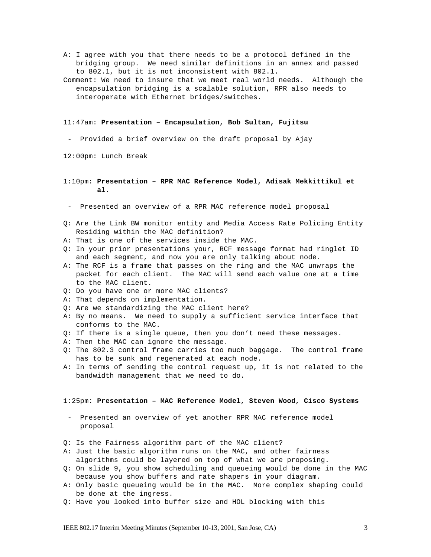- A: I agree with you that there needs to be a protocol defined in the bridging group. We need similar definitions in an annex and passed to 802.1, but it is not inconsistent with 802.1.
- Comment: We need to insure that we meet real world needs. Although the encapsulation bridging is a scalable solution, RPR also needs to interoperate with Ethernet bridges/switches.

#### 11:47am: **Presentation – Encapsulation, Bob Sultan, Fujitsu**

Provided a brief overview on the draft proposal by Ajay

12:00pm: Lunch Break

#### 1:10pm: **Presentation – RPR MAC Reference Model, Adisak Mekkittikul et al.**

- Presented an overview of a RPR MAC reference model proposal

- Q: Are the Link BW monitor entity and Media Access Rate Policing Entity Residing within the MAC definition?
- A: That is one of the services inside the MAC.
- Q: In your prior presentations your, RCF message format had ringlet ID and each segment, and now you are only talking about node.
- A: The RCF is a frame that passes on the ring and the MAC unwraps the packet for each client. The MAC will send each value one at a time to the MAC client.
- Q: Do you have one or more MAC clients?
- A: That depends on implementation.
- Q: Are we standardizing the MAC client here?
- A: By no means. We need to supply a sufficient service interface that conforms to the MAC.
- Q: If there is a single queue, then you don't need these messages.
- A: Then the MAC can ignore the message.
- Q: The 802.3 control frame carries too much baggage. The control frame has to be sunk and regenerated at each node.
- A: In terms of sending the control request up, it is not related to the bandwidth management that we need to do.

#### 1:25pm: **Presentation – MAC Reference Model, Steven Wood, Cisco Systems**

- Presented an overview of yet another RPR MAC reference model proposal
- Q: Is the Fairness algorithm part of the MAC client?
- A: Just the basic algorithm runs on the MAC, and other fairness algorithms could be layered on top of what we are proposing.
- Q: On slide 9, you show scheduling and queueing would be done in the MAC because you show buffers and rate shapers in your diagram.
- A: Only basic queueing would be in the MAC. More complex shaping could be done at the ingress.
- Q: Have you looked into buffer size and HOL blocking with this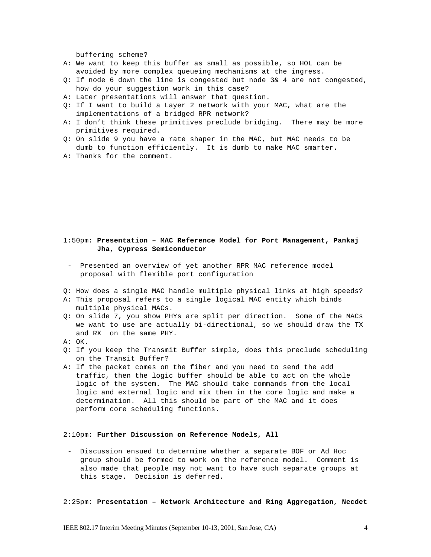buffering scheme?

- A: We want to keep this buffer as small as possible, so HOL can be avoided by more complex queueing mechanisms at the ingress.
- Q: If node 6 down the line is congested but node 3& 4 are not congested, how do your suggestion work in this case?
- A: Later presentations will answer that question.
- Q: If I want to build a Layer 2 network with your MAC, what are the implementations of a bridged RPR network?
- A: I don't think these primitives preclude bridging. There may be more primitives required.
- Q: On slide 9 you have a rate shaper in the MAC, but MAC needs to be dumb to function efficiently. It is dumb to make MAC smarter.
- A: Thanks for the comment.

### 1:50pm: **Presentation – MAC Reference Model for Port Management, Pankaj Jha, Cypress Semiconductor**

- Presented an overview of yet another RPR MAC reference model proposal with flexible port configuration
- Q: How does a single MAC handle multiple physical links at high speeds?
- A: This proposal refers to a single logical MAC entity which binds multiple physical MACs.
- Q: On slide 7, you show PHYs are split per direction. Some of the MACs we want to use are actually bi-directional, so we should draw the TX and RX on the same PHY.
- A: OK.
- Q: If you keep the Transmit Buffer simple, does this preclude scheduling on the Transit Buffer?
- A: If the packet comes on the fiber and you need to send the add traffic, then the logic buffer should be able to act on the whole logic of the system. The MAC should take commands from the local logic and external logic and mix them in the core logic and make a determination. All this should be part of the MAC and it does perform core scheduling functions.

#### 2:10pm: **Further Discussion on Reference Models, All**

- Discussion ensued to determine whether a separate BOF or Ad Hoc group should be formed to work on the reference model. Comment is also made that people may not want to have such separate groups at this stage. Decision is deferred.

2:25pm: **Presentation – Network Architecture and Ring Aggregation, Necdet**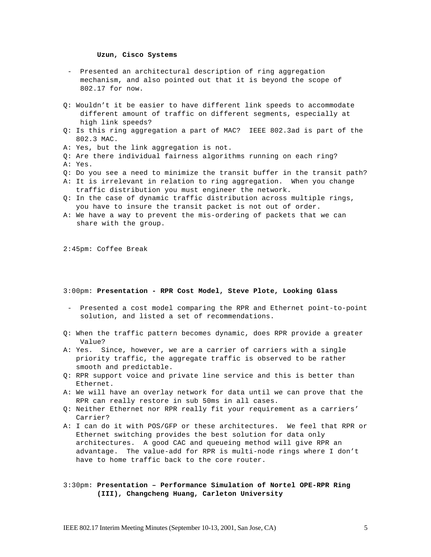#### **Uzun, Cisco Systems**

- Presented an architectural description of ring aggregation mechanism, and also pointed out that it is beyond the scope of 802.17 for now.
- Q: Wouldn't it be easier to have different link speeds to accommodate different amount of traffic on different segments, especially at high link speeds?
- Q: Is this ring aggregation a part of MAC? IEEE 802.3ad is part of the 802.3 MAC.
- A: Yes, but the link aggregation is not.
- Q: Are there individual fairness algorithms running on each ring? A: Yes.
- Q: Do you see a need to minimize the transit buffer in the transit path?
- A: It is irrelevant in relation to ring aggregation. When you change traffic distribution you must engineer the network.
- Q: In the case of dynamic traffic distribution across multiple rings, you have to insure the transit packet is not out of order.
- A: We have a way to prevent the mis-ordering of packets that we can share with the group.

2:45pm: Coffee Break

#### 3:00pm: **Presentation - RPR Cost Model, Steve Plote, Looking Glass**

- Presented a cost model comparing the RPR and Ethernet point-to-point solution, and listed a set of recommendations.
- Q: When the traffic pattern becomes dynamic, does RPR provide a greater Value?
- A: Yes. Since, however, we are a carrier of carriers with a single priority traffic, the aggregate traffic is observed to be rather smooth and predictable.
- Q: RPR support voice and private line service and this is better than Ethernet.
- A: We will have an overlay network for data until we can prove that the RPR can really restore in sub 50ms in all cases.
- Q: Neither Ethernet nor RPR really fit your requirement as a carriers' Carrier?
- A: I can do it with POS/GFP or these architectures. We feel that RPR or Ethernet switching provides the best solution for data only architectures. A good CAC and queueing method will give RPR an advantage. The value-add for RPR is multi-node rings where I don't have to home traffic back to the core router.

### 3:30pm: **Presentation – Performance Simulation of Nortel OPE-RPR Ring (III), Changcheng Huang, Carleton University**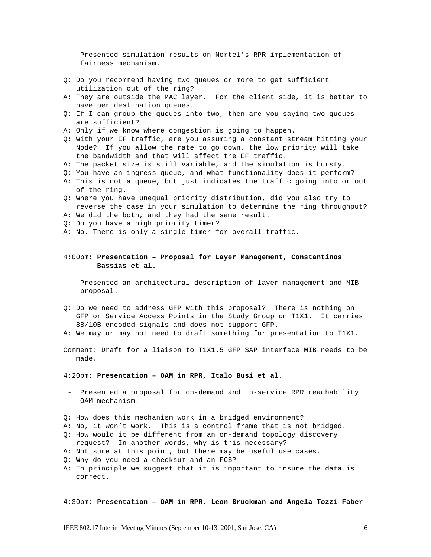- Presented simulation results on Nortel's RPR implementation of fairness mechanism.
- Q: Do you recommend having two queues or more to get sufficient utilization out of the ring?
- A: They are outside the MAC layer. For the client side, it is better to have per destination queues.
- Q: If I can group the queues into two, then are you saying two queues are sufficient?
- A: Only if we know where congestion is going to happen.
- Q: With your EF traffic, are you assuming a constant stream hitting your Node? If you allow the rate to go down, the low priority will take the bandwidth and that will affect the EF traffic.
- A: The packet size is still variable, and the simulation is bursty.
- Q: You have an ingress queue, and what functionality does it perform?
- A: This is not a queue, but just indicates the traffic going into or out of the ring.
- Q: Where you have unequal priority distribution, did you also try to reverse the case in your simulation to determine the ring throughput?
- A: We did the both, and they had the same result.
- Q: Do you have a high priority timer?
- A: No. There is only a single timer for overall traffic.

### 4:00pm: **Presentation – Proposal for Layer Management, Constantinos Bassias et al.**

- Presented an architectural description of layer management and MIB proposal.
- Q: Do we need to address GFP with this proposal? There is nothing on GFP or Service Access Points in the Study Group on T1X1. It carries 8B/10B encoded signals and does not support GFP.
- A: We may or may not need to draft something for presentation to T1X1.
- Comment: Draft for a liaison to T1X1.5 GFP SAP interface MIB needs to be made.
- 4:20pm: **Presentation OAM in RPR, Italo Busi et al.**
- Presented a proposal for on-demand and in-service RPR reachability OAM mechanism.
- Q: How does this mechanism work in a bridged environment?
- A: No, it won't work. This is a control frame that is not bridged.
- Q: How would it be different from an on-demand topology discovery
- request? In another words, why is this necessary?
- A: Not sure at this point, but there may be useful use cases.
- Q: Why do you need a checksum and an FCS?
- A: In principle we suggest that it is important to insure the data is correct.

4:30pm: **Presentation – OAM in RPR, Leon Bruckman and Angela Tozzi Faber**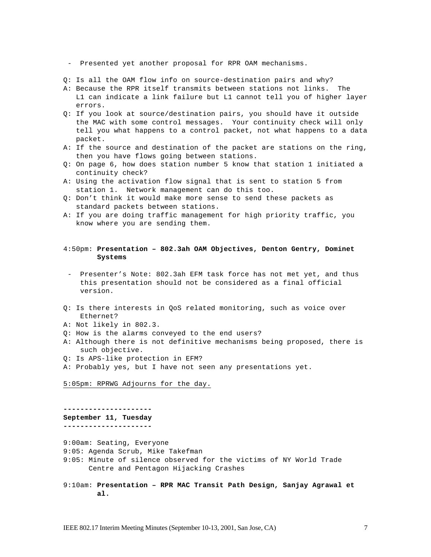- Presented yet another proposal for RPR OAM mechanisms.

- Q: Is all the OAM flow info on source-destination pairs and why?
- A: Because the RPR itself transmits between stations not links. The L1 can indicate a link failure but L1 cannot tell you of higher layer errors.
- Q: If you look at source/destination pairs, you should have it outside the MAC with some control messages. Your continuity check will only tell you what happens to a control packet, not what happens to a data packet.
- A: If the source and destination of the packet are stations on the ring, then you have flows going between stations.
- Q: On page 6, how does station number 5 know that station 1 initiated a continuity check?
- A: Using the activation flow signal that is sent to station 5 from station 1. Network management can do this too.
- Q: Don't think it would make more sense to send these packets as standard packets between stations.
- A: If you are doing traffic management for high priority traffic, you know where you are sending them.

### 4:50pm: **Presentation – 802.3ah OAM Objectives, Denton Gentry, Dominet Systems**

- Presenter's Note: 802.3ah EFM task force has not met yet, and thus this presentation should not be considered as a final official version.
- Q: Is there interests in QoS related monitoring, such as voice over Ethernet?
- A: Not likely in 802.3.
- Q: How is the alarms conveyed to the end users?
- A: Although there is not definitive mechanisms being proposed, there is such objective.
- Q: Is APS-like protection in EFM?
- A: Probably yes, but I have not seen any presentations yet.

5:05pm: RPRWG Adjourns for the day.

#### **--------------------- September 11, Tuesday**

**---------------------**

- 9:00am: Seating, Everyone
- 9:05: Agenda Scrub, Mike Takefman
- 9:05: Minute of silence observed for the victims of NY World Trade Centre and Pentagon Hijacking Crashes
- 9:10am: **Presentation RPR MAC Transit Path Design, Sanjay Agrawal et al.**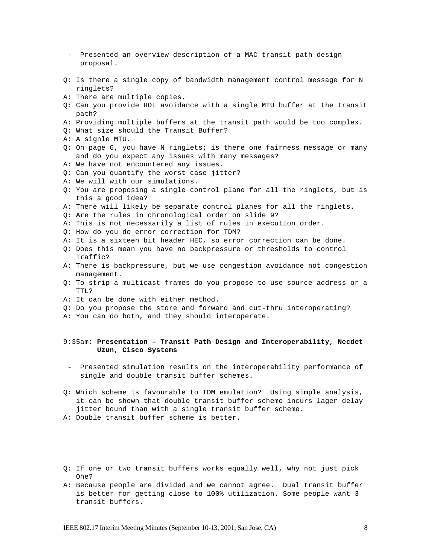- Presented an overview description of a MAC transit path design proposal.
- Q: Is there a single copy of bandwidth management control message for N ringlets?
- A: There are multiple copies.
- Q: Can you provide HOL avoidance with a single MTU buffer at the transit path?
- A: Providing multiple buffers at the transit path would be too complex.
- Q: What size should the Transit Buffer?
- A: A signle MTU.
- Q: On page 6, you have N ringlets; is there one fairness message or many and do you expect any issues with many messages?
- A: We have not encountered any issues.
- Q: Can you quantify the worst case jitter?
- A: We will with our simulations.
- Q: You are proposing a single control plane for all the ringlets, but is this a good idea?
- A: There will likely be separate control planes for all the ringlets.
- Q: Are the rules in chronological order on slide 9?
- A: This is not necessarily a list of rules in execution order.
- Q: How do you do error correction for TDM?
- A: It is a sixteen bit header HEC, so error correction can be done.
- Q: Does this mean you have no backpressure or thresholds to control Traffic?
- A: There is backpressure, but we use congestion avoidance not congestion management.
- Q: To strip a multicast frames do you propose to use source address or a TTL?
- A: It can be done with either method.
- Q: Do you propose the store and forward and cut-thru interoperating?
- A: You can do both, and they should interoperate.

#### 9:35am: **Presentation – Transit Path Design and Interoperability, Necdet Uzun, Cisco Systems**

- Presented simulation results on the interoperability performance of single and double transit buffer schemes.
- Q: Which scheme is favourable to TDM emulation? Using simple analysis, it can be shown that double transit buffer scheme incurs lager delay jitter bound than with a single transit buffer scheme.
- A: Double transit buffer scheme is better.
- Q: If one or two transit buffers works equally well, why not just pick One?
- A: Because people are divided and we cannot agree. Dual transit buffer is better for getting close to 100% utilization. Some people want 3 transit buffers.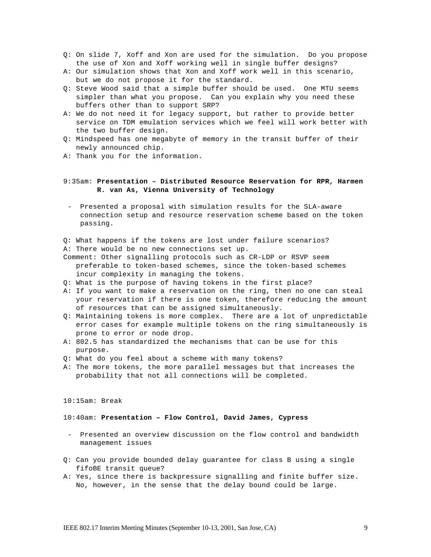- Q: On slide 7, Xoff and Xon are used for the simulation. Do you propose the use of Xon and Xoff working well in single buffer designs?
- A: Our simulation shows that Xon and Xoff work well in this scenario, but we do not propose it for the standard.
- Q: Steve Wood said that a simple buffer should be used. One MTU seems simpler than what you propose. Can you explain why you need these buffers other than to support SRP?
- A: We do not need it for legacy support, but rather to provide better service on TDM emulation services which we feel will work better with the two buffer design.
- Q: Mindspeed has one megabyte of memory in the transit buffer of their newly announced chip.
- A: Thank you for the information.

### 9:35am: **Presentation – Distributed Resource Reservation for RPR, Harmen R. van As, Vienna University of Technology**

- Presented a proposal with simulation results for the SLA-aware connection setup and resource reservation scheme based on the token passing.
- Q: What happens if the tokens are lost under failure scenarios?
- A: There would be no new connections set up.
- Comment: Other signalling protocols such as CR-LDP or RSVP seem preferable to token-based schemes, since the token-based schemes incur complexity in managing the tokens.
- Q: What is the purpose of having tokens in the first place?
- A: If you want to make a reservation on the ring, then no one can steal your reservation if there is one token, therefore reducing the amount of resources that can be assigned simultaneously.
- Q: Maintaining tokens is more complex. There are a lot of unpredictable error cases for example multiple tokens on the ring simultaneously is prone to error or node drop.
- A: 802.5 has standardized the mechanisms that can be use for this purpose.
- Q: What do you feel about a scheme with many tokens?
- A: The more tokens, the more parallel messages but that increases the probability that not all connections will be completed.

#### 10:15am: Break

#### 10:40am: **Presentation – Flow Control, David James, Cypress**

- Presented an overview discussion on the flow control and bandwidth management issues
- Q: Can you provide bounded delay guarantee for class B using a single fifoBE transit queue?
- A: Yes, since there is backpressure signalling and finite buffer size. No, however, in the sense that the delay bound could be large.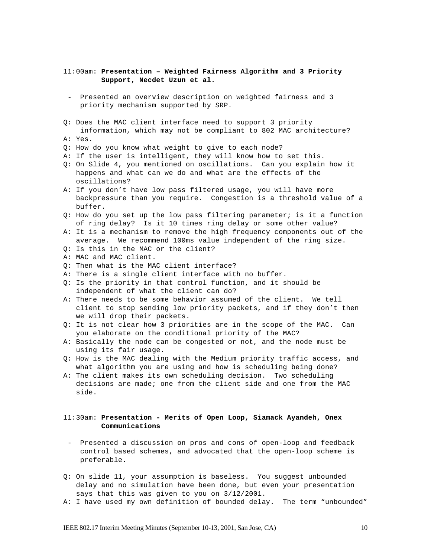### 11:00am: **Presentation – Weighted Fairness Algorithm and 3 Priority Support, Necdet Uzun et al.**

- Presented an overview description on weighted fairness and 3 priority mechanism supported by SRP.
- Q: Does the MAC client interface need to support 3 priority information, which may not be compliant to 802 MAC architecture?
- A: Yes.
- Q: How do you know what weight to give to each node?
- A: If the user is intelligent, they will know how to set this.
- Q: On Slide 4, you mentioned on oscillations. Can you explain how it happens and what can we do and what are the effects of the oscillations?
- A: If you don't have low pass filtered usage, you will have more backpressure than you require. Congestion is a threshold value of a buffer.
- Q: How do you set up the low pass filtering parameter; is it a function of ring delay? Is it 10 times ring delay or some other value?
- A: It is a mechanism to remove the high frequency components out of the average. We recommend 100ms value independent of the ring size.
- Q: Is this in the MAC or the client?
- A: MAC and MAC client.
- Q: Then what is the MAC client interface?
- A: There is a single client interface with no buffer.
- Q: Is the priority in that control function, and it should be independent of what the client can do?
- A: There needs to be some behavior assumed of the client. We tell client to stop sending low priority packets, and if they don't then we will drop their packets.
- Q: It is not clear how 3 priorities are in the scope of the MAC. Can you elaborate on the conditional priority of the MAC?
- A: Basically the node can be congested or not, and the node must be using its fair usage.
- Q: How is the MAC dealing with the Medium priority traffic access, and what algorithm you are using and how is scheduling being done?
- A: The client makes its own scheduling decision. Two scheduling decisions are made; one from the client side and one from the MAC side.

### 11:30am: **Presentation - Merits of Open Loop, Siamack Ayandeh, Onex Communications**

- Presented a discussion on pros and cons of open-loop and feedback control based schemes, and advocated that the open-loop scheme is preferable.
- Q: On slide 11, your assumption is baseless. You suggest unbounded delay and no simulation have been done, but even your presentation says that this was given to you on 3/12/2001.
- A: I have used my own definition of bounded delay. The term "unbounded"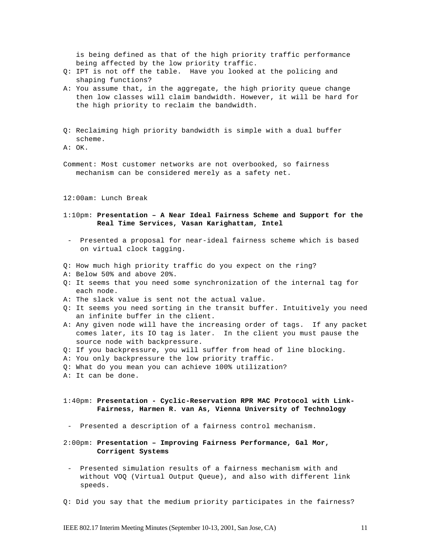is being defined as that of the high priority traffic performance being affected by the low priority traffic.

- Q: IPT is not off the table. Have you looked at the policing and shaping functions?
- A: You assume that, in the aggregate, the high priority queue change then low classes will claim bandwidth. However, it will be hard for the high priority to reclaim the bandwidth.
- Q: Reclaiming high priority bandwidth is simple with a dual buffer scheme.
- A: OK.
- Comment: Most customer networks are not overbooked, so fairness mechanism can be considered merely as a safety net.

12:00am: Lunch Break

### 1:10pm: **Presentation – A Near Ideal Fairness Scheme and Support for the Real Time Services, Vasan Karighattam, Intel**

- Presented a proposal for near-ideal fairness scheme which is based on virtual clock tagging.
- Q: How much high priority traffic do you expect on the ring?
- A: Below 50% and above 20%.
- Q: It seems that you need some synchronization of the internal tag for each node.
- A: The slack value is sent not the actual value.
- Q: It seems you need sorting in the transit buffer. Intuitively you need an infinite buffer in the client.
- A: Any given node will have the increasing order of tags. If any packet comes later, its IO tag is later. In the client you must pause the source node with backpressure.
- Q: If you backpressure, you will suffer from head of line blocking.
- A: You only backpressure the low priority traffic.
- Q: What do you mean you can achieve 100% utilization?
- A: It can be done.
- 1:40pm: **Presentation Cyclic-Reservation RPR MAC Protocol with Link- Fairness, Harmen R. van As, Vienna University of Technology**
- Presented a description of a fairness control mechanism.
- 2:00pm: **Presentation Improving Fairness Performance, Gal Mor, Corrigent Systems**
- Presented simulation results of a fairness mechanism with and without VOQ (Virtual Output Queue), and also with different link speeds.
- Q: Did you say that the medium priority participates in the fairness?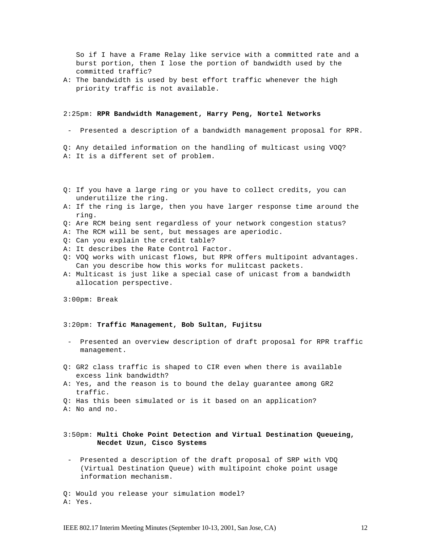So if I have a Frame Relay like service with a committed rate and a burst portion, then I lose the portion of bandwidth used by the committed traffic?

A: The bandwidth is used by best effort traffic whenever the high priority traffic is not available.

#### 2:25pm: **RPR Bandwidth Management, Harry Peng, Nortel Networks**

- Presented a description of a bandwidth management proposal for RPR.

Q: Any detailed information on the handling of multicast using VOQ? A: It is a different set of problem.

- Q: If you have a large ring or you have to collect credits, you can underutilize the ring.
- A: If the ring is large, then you have larger response time around the ring.
- Q: Are RCM being sent regardless of your network congestion status?
- A: The RCM will be sent, but messages are aperiodic.
- Q: Can you explain the credit table?
- A: It describes the Rate Control Factor.
- Q: VOQ works with unicast flows, but RPR offers multipoint advantages. Can you describe how this works for mulitcast packets.
- A: Multicast is just like a special case of unicast from a bandwidth allocation perspective.
- 3:00pm: Break

#### 3:20pm: **Traffic Management, Bob Sultan, Fujitsu**

- Presented an overview description of draft proposal for RPR traffic management.
- Q: GR2 class traffic is shaped to CIR even when there is available excess link bandwidth?
- A: Yes, and the reason is to bound the delay guarantee among GR2 traffic.
- Q: Has this been simulated or is it based on an application?
- A: No and no.

### 3:50pm: **Multi Choke Point Detection and Virtual Destination Queueing, Necdet Uzun, Cisco Systems**

- Presented a description of the draft proposal of SRP with VDQ (Virtual Destination Queue) with multipoint choke point usage information mechanism.

Q: Would you release your simulation model? A: Yes.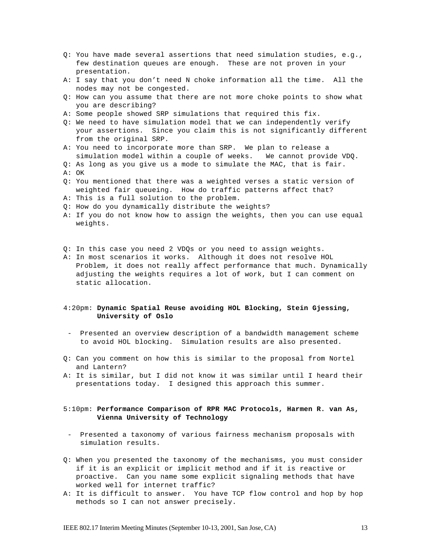- Q: You have made several assertions that need simulation studies, e.g., few destination queues are enough. These are not proven in your presentation.
- A: I say that you don't need N choke information all the time. All the nodes may not be congested.
- Q: How can you assume that there are not more choke points to show what you are describing?
- A: Some people showed SRP simulations that required this fix.
- Q: We need to have simulation model that we can independently verify your assertions. Since you claim this is not significantly different from the original SRP.
- A: You need to incorporate more than SRP. We plan to release a simulation model within a couple of weeks. We cannot provide VDQ.
- Q: As long as you give us a mode to simulate the MAC, that is fair. A: OK
- Q: You mentioned that there was a weighted verses a static version of weighted fair queueing. How do traffic patterns affect that?
- A: This is a full solution to the problem.
- Q: How do you dynamically distribute the weights?
- A: If you do not know how to assign the weights, then you can use equal weights.
- Q: In this case you need 2 VDQs or you need to assign weights.
- A: In most scenarios it works. Although it does not resolve HOL Problem, it does not really affect performance that much. Dynamically adjusting the weights requires a lot of work, but I can comment on static allocation.

### 4:20pm: **Dynamic Spatial Reuse avoiding HOL Blocking, Stein Gjessing, University of Oslo**

- Presented an overview description of a bandwidth management scheme to avoid HOL blocking. Simulation results are also presented.
- Q: Can you comment on how this is similar to the proposal from Nortel and Lantern?
- A: It is similar, but I did not know it was similar until I heard their presentations today. I designed this approach this summer.

### 5:10pm: **Performance Comparison of RPR MAC Protocols, Harmen R. van As, Vienna University of Technology**

- Presented a taxonomy of various fairness mechanism proposals with simulation results.
- Q: When you presented the taxonomy of the mechanisms, you must consider if it is an explicit or implicit method and if it is reactive or proactive. Can you name some explicit signaling methods that have worked well for internet traffic?
- A: It is difficult to answer. You have TCP flow control and hop by hop methods so I can not answer precisely.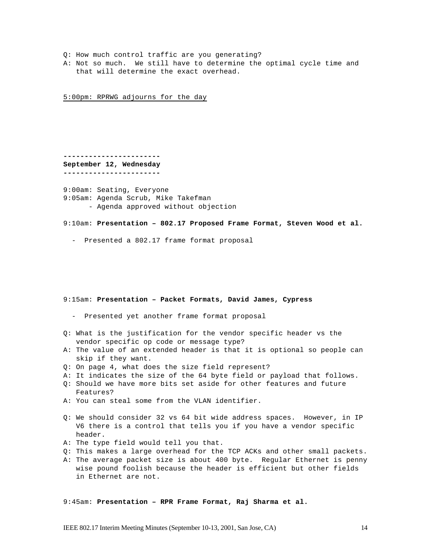- Q: How much control traffic are you generating?
- A: Not so much. We still have to determine the optimal cycle time and that will determine the exact overhead.

5:00pm: RPRWG adjourns for the day

**----------------------- September 12, Wednesday -----------------------**

9:00am: Seating, Everyone 9:05am: Agenda Scrub, Mike Takefman - Agenda approved without objection

9:10am: **Presentation – 802.17 Proposed Frame Format, Steven Wood et al.**

- Presented a 802.17 frame format proposal

#### 9:15am: **Presentation – Packet Formats, David James, Cypress**

- Presented yet another frame format proposal
- Q: What is the justification for the vendor specific header vs the vendor specific op code or message type?
- A: The value of an extended header is that it is optional so people can skip if they want.
- Q: On page 4, what does the size field represent?
- A: It indicates the size of the 64 byte field or payload that follows.
- Q: Should we have more bits set aside for other features and future Features?
- A: You can steal some from the VLAN identifier.
- Q: We should consider 32 vs 64 bit wide address spaces. However, in IP V6 there is a control that tells you if you have a vendor specific header.
- A: The type field would tell you that.
- Q: This makes a large overhead for the TCP ACKs and other small packets.
- A: The average packet size is about 400 byte. Regular Ethernet is penny wise pound foolish because the header is efficient but other fields in Ethernet are not.

9:45am: **Presentation – RPR Frame Format, Raj Sharma et al.**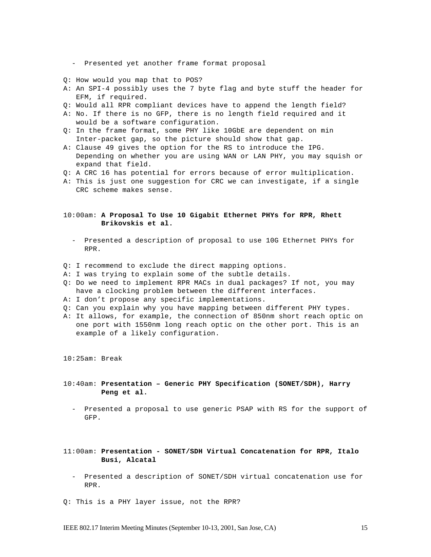- Presented yet another frame format proposal

- Q: How would you map that to POS?
- A: An SPI-4 possibly uses the 7 byte flag and byte stuff the header for EFM, if required.
- Q: Would all RPR compliant devices have to append the length field?
- A: No. If there is no GFP, there is no length field required and it would be a software configuration.
- Q: In the frame format, some PHY like 10GbE are dependent on min Inter-packet gap, so the picture should show that gap.
- A: Clause 49 gives the option for the RS to introduce the IPG. Depending on whether you are using WAN or LAN PHY, you may squish or expand that field.
- Q: A CRC 16 has potential for errors because of error multiplication.
- A: This is just one suggestion for CRC we can investigate, if a single CRC scheme makes sense.

#### 10:00am: **A Proposal To Use 10 Gigabit Ethernet PHYs for RPR, Rhett Brikovskis et al.**

- Presented a description of proposal to use 10G Ethernet PHYs for RPR.
- Q: I recommend to exclude the direct mapping options.
- A: I was trying to explain some of the subtle details.
- Q: Do we need to implement RPR MACs in dual packages? If not, you may have a clocking problem between the different interfaces.
- A: I don't propose any specific implementations.
- Q: Can you explain why you have mapping between different PHY types.
- A: It allows, for example, the connection of 850nm short reach optic on one port with 1550nm long reach optic on the other port. This is an example of a likely configuration.

10:25am: Break

- 10:40am: **Presentation Generic PHY Specification (SONET/SDH), Harry Peng et al.**
	- Presented a proposal to use generic PSAP with RS for the support of GFP.
- 11:00am: **Presentation SONET/SDH Virtual Concatenation for RPR, Italo Busi, Alcatal**
	- Presented a description of SONET/SDH virtual concatenation use for RPR.
- Q: This is a PHY layer issue, not the RPR?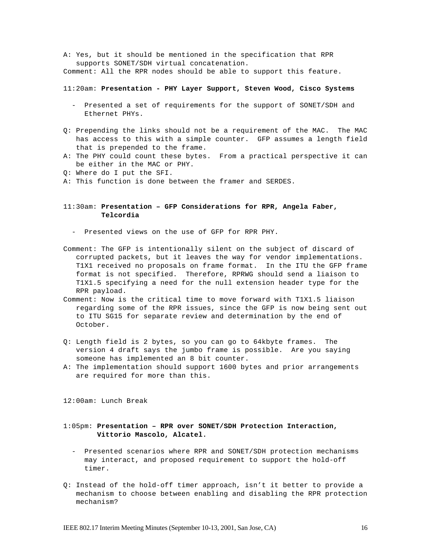A: Yes, but it should be mentioned in the specification that RPR supports SONET/SDH virtual concatenation.

Comment: All the RPR nodes should be able to support this feature.

#### 11:20am: **Presentation - PHY Layer Support, Steven Wood, Cisco Systems**

- Presented a set of requirements for the support of SONET/SDH and Ethernet PHYs.
- Q: Prepending the links should not be a requirement of the MAC. The MAC has access to this with a simple counter. GFP assumes a length field that is prepended to the frame.
- A: The PHY could count these bytes. From a practical perspective it can be either in the MAC or PHY.
- Q: Where do I put the SFI.
- A: This function is done between the framer and SERDES.

### 11:30am: **Presentation – GFP Considerations for RPR, Angela Faber, Telcordia**

- Presented views on the use of GFP for RPR PHY.
- Comment: The GFP is intentionally silent on the subject of discard of corrupted packets, but it leaves the way for vendor implementations. T1X1 received no proposals on frame format. In the ITU the GFP frame format is not specified. Therefore, RPRWG should send a liaison to T1X1.5 specifying a need for the null extension header type for the RPR payload.
- Comment: Now is the critical time to move forward with T1X1.5 liaison regarding some of the RPR issues, since the GFP is now being sent out to ITU SG15 for separate review and determination by the end of October.
- Q: Length field is 2 bytes, so you can go to 64kbyte frames. The version 4 draft says the jumbo frame is possible. Are you saying someone has implemented an 8 bit counter.
- A: The implementation should support 1600 bytes and prior arrangements are required for more than this.

12:00am: Lunch Break

### 1:05pm: **Presentation – RPR over SONET/SDH Protection Interaction, Vittorio Mascolo, Alcatel.**

- Presented scenarios where RPR and SONET/SDH protection mechanisms may interact, and proposed requirement to support the hold-off timer.
- Q: Instead of the hold-off timer approach, isn't it better to provide a mechanism to choose between enabling and disabling the RPR protection mechanism?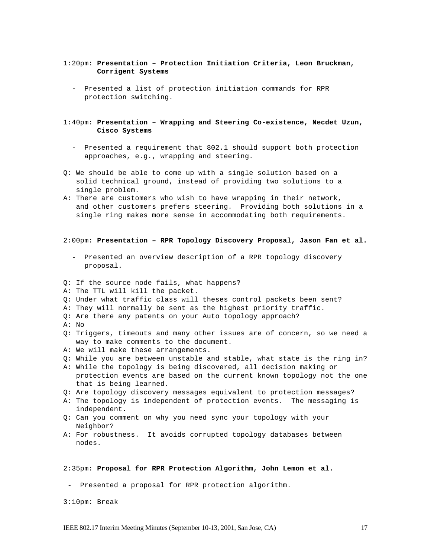### 1:20pm: **Presentation – Protection Initiation Criteria, Leon Bruckman, Corrigent Systems**

- Presented a list of protection initiation commands for RPR protection switching.

#### 1:40pm: **Presentation – Wrapping and Steering Co-existence, Necdet Uzun, Cisco Systems**

- Presented a requirement that 802.1 should support both protection approaches, e.g., wrapping and steering.
- Q: We should be able to come up with a single solution based on a solid technical ground, instead of providing two solutions to a single problem.
- A: There are customers who wish to have wrapping in their network, and other customers prefers steering. Providing both solutions in a single ring makes more sense in accommodating both requirements.

#### 2:00pm: **Presentation – RPR Topology Discovery Proposal, Jason Fan et al.**

- Presented an overview description of a RPR topology discovery proposal.
- Q: If the source node fails, what happens?
- A: The TTL will kill the packet.
- Q: Under what traffic class will theses control packets been sent?
- A: They will normally be sent as the highest priority traffic.
- Q: Are there any patents on your Auto topology approach?
- A: No
- Q: Triggers, timeouts and many other issues are of concern, so we need a way to make comments to the document.
- A: We will make these arrangements.
- Q: While you are between unstable and stable, what state is the ring in?
- A: While the topology is being discovered, all decision making or protection events are based on the current known topology not the one that is being learned.
- Q: Are topology discovery messages equivalent to protection messages?
- A: The topology is independent of protection events. The messaging is independent.
- Q: Can you comment on why you need sync your topology with your Neighbor?
- A: For robustness. It avoids corrupted topology databases between nodes.

#### 2:35pm: **Proposal for RPR Protection Algorithm, John Lemon et al.**

- Presented a proposal for RPR protection algorithm.
- 3:10pm: Break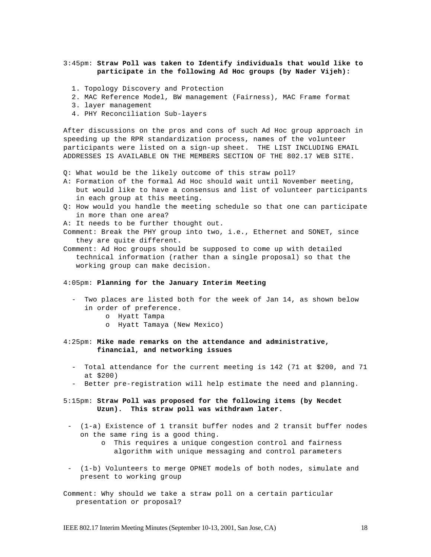### 3:45pm: **Straw Poll was taken to Identify individuals that would like to participate in the following Ad Hoc groups (by Nader Vijeh):**

- 1. Topology Discovery and Protection
- 2. MAC Reference Model, BW management (Fairness), MAC Frame format
- 3. layer management
- 4. PHY Reconciliation Sub-layers

After discussions on the pros and cons of such Ad Hoc group approach in speeding up the RPR standardization process, names of the volunteer participants were listed on a sign-up sheet. THE LIST INCLUDING EMAIL ADDRESSES IS AVAILABLE ON THE MEMBERS SECTION OF THE 802.17 WEB SITE.

- Q: What would be the likely outcome of this straw poll?
- A: Formation of the formal Ad Hoc should wait until November meeting, but would like to have a consensus and list of volunteer participants in each group at this meeting.
- Q: How would you handle the meeting schedule so that one can participate in more than one area?
- A: It needs to be further thought out.

Comment: Break the PHY group into two, i.e., Ethernet and SONET, since they are quite different.

Comment: Ad Hoc groups should be supposed to come up with detailed technical information (rather than a single proposal) so that the working group can make decision.

### 4:05pm: **Planning for the January Interim Meeting**

- Two places are listed both for the week of Jan 14, as shown below in order of preference.
	- o Hyatt Tampa
	- o Hyatt Tamaya (New Mexico)

#### 4:25pm: **Mike made remarks on the attendance and administrative, financial, and networking issues**

- Total attendance for the current meeting is 142 (71 at \$200, and 71 at \$200)
- Better pre-registration will help estimate the need and planning.
- 5:15pm: **Straw Poll was proposed for the following items (by Necdet Uzun). This straw poll was withdrawn later.**
- (1-a) Existence of 1 transit buffer nodes and 2 transit buffer nodes on the same ring is a good thing.
	- o This requires a unique congestion control and fairness algorithm with unique messaging and control parameters
- (1-b) Volunteers to merge OPNET models of both nodes, simulate and present to working group

Comment: Why should we take a straw poll on a certain particular presentation or proposal?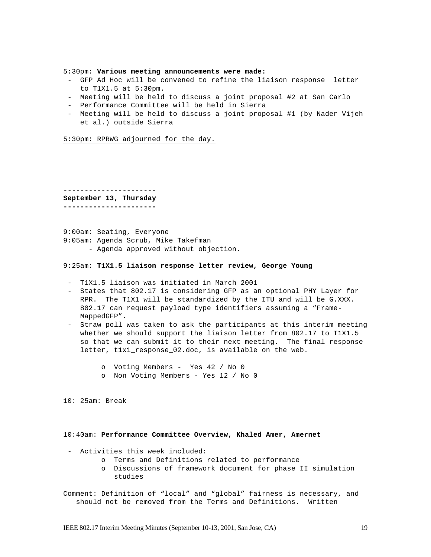5:30pm: **Various meeting announcements were made:**

- GFP Ad Hoc will be convened to refine the liaison response letter to T1X1.5 at 5:30pm.
- Meeting will be held to discuss a joint proposal #2 at San Carlo
- Performance Committee will be held in Sierra
- Meeting will be held to discuss a joint proposal #1 (by Nader Vijeh et al.) outside Sierra

5:30pm: RPRWG adjourned for the day.

**---------------------- September 13, Thursday ----------------------**

9:00am: Seating, Everyone 9:05am: Agenda Scrub, Mike Takefman - Agenda approved without objection.

#### 9:25am: **T1X1.5 liaison response letter review, George Young**

- T1X1.5 liaison was initiated in March 2001
- States that 802.17 is considering GFP as an optional PHY Layer for RPR. The T1X1 will be standardized by the ITU and will be G.XXX. 802.17 can request payload type identifiers assuming a "Frame-MappedGFP".
- Straw poll was taken to ask the participants at this interim meeting whether we should support the liaison letter from 802.17 to T1X1.5 so that we can submit it to their next meeting. The final response letter, t1x1\_response\_02.doc, is available on the web.
	- o Voting Members Yes 42 / No 0
	- o Non Voting Members Yes 12 / No 0

10: 25am: Break

10:40am: **Performance Committee Overview, Khaled Amer, Amernet**

- Activities this week included:
	- o Terms and Definitions related to performance
	- o Discussions of framework document for phase II simulation studies

Comment: Definition of "local" and "global" fairness is necessary, and should not be removed from the Terms and Definitions. Written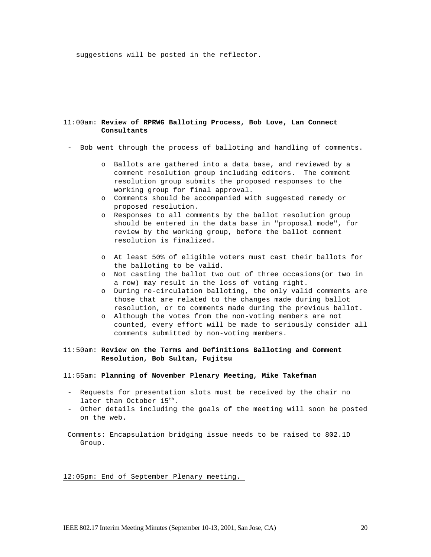suggestions will be posted in the reflector.

#### 11:00am: **Review of RPRWG Balloting Process, Bob Love, Lan Connect Consultants**

- Bob went through the process of balloting and handling of comments.
	- o Ballots are gathered into a data base, and reviewed by a comment resolution group including editors. The comment resolution group submits the proposed responses to the working group for final approval.
	- o Comments should be accompanied with suggested remedy or proposed resolution.
	- o Responses to all comments by the ballot resolution group should be entered in the data base in "proposal mode", for review by the working group, before the ballot comment resolution is finalized.
	- o At least 50% of eligible voters must cast their ballots for the balloting to be valid.
	- o Not casting the ballot two out of three occasions(or two in a row) may result in the loss of voting right.
	- o During re-circulation balloting, the only valid comments are those that are related to the changes made during ballot resolution, or to comments made during the previous ballot.
	- o Although the votes from the non-voting members are not counted, every effort will be made to seriously consider all comments submitted by non-voting members.

### 11:50am: **Review on the Terms and Definitions Balloting and Comment Resolution, Bob Sultan, Fujitsu**

#### 11:55am: **Planning of November Plenary Meeting, Mike Takefman**

- Requests for presentation slots must be received by the chair no later than October 15<sup>th</sup>.
- Other details including the goals of the meeting will soon be posted on the web.

Comments: Encapsulation bridging issue needs to be raised to 802.1D Group.

12:05pm: End of September Plenary meeting.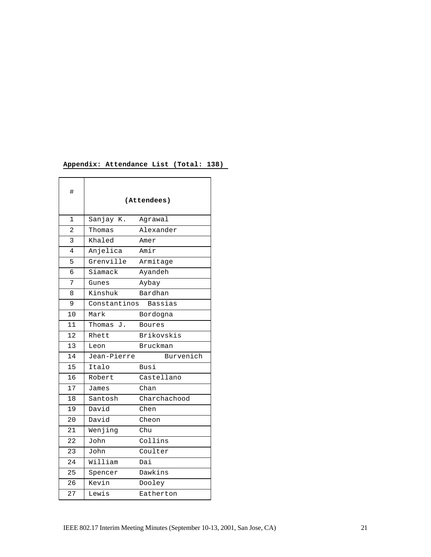## **Appendix: Attendance List (Total: 138)**

| #            |              | (Attendees)  |
|--------------|--------------|--------------|
| $\mathbf{1}$ | Sanjay K.    | Agrawal      |
| 2            | Thomas       | Alexander    |
| 3            | Khaled       | Amer         |
| 4            | Anjelica     | Amir         |
| 5            | Grenville    | Armitage     |
| 6            | Siamack      | Ayandeh      |
| 7            | Gunes        | Aybay        |
| 8            | Kinshuk      | Bardhan      |
| 9            | Constantinos | Bassias      |
| 10           | Mark         | Bordogna     |
| 11           | Thomas J.    | Boures       |
| 12           | Rhett        | Brikovskis   |
| 13           | Leon         | Bruckman     |
| 14           | Jean-Pierre  | Burvenich    |
| 15           | Italo        | Busi         |
| 16           | Robert       | Castellano   |
| 17           | James        | Chan         |
| 18           | Santosh      | Charchachood |
| 19           | David        | Chen         |
| 20           | David        | Cheon        |
| 21           | Wenjing      | Chu          |
| 22           | John         | Collins      |
| 23           | John         | Coulter      |
| 24           | William      | Dai          |
| 25           | Spencer      | Dawkins      |
| 26           | Kevin        | Dooley       |
| 27           | Lewis        | Eatherton    |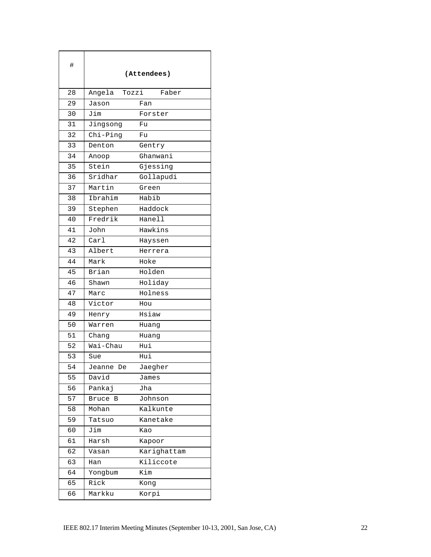| #  | (Attendees)       |             |
|----|-------------------|-------------|
| 28 | Angela<br>Tozzi   | Faber       |
| 29 | Jason             | Fan         |
| 30 | Jim               | Forster     |
| 31 | Jingsong          | Fu          |
| 32 | Chi-Ping          | Fu          |
| 33 | Denton            | Gentry      |
| 34 | Anoop             | Ghanwani    |
| 35 | Stein             | Gjessing    |
| 36 | Sridhar           | Gollapudi   |
| 37 | Martin            | Green       |
| 38 | Ibrahim           | Habib       |
| 39 | Stephen           | Haddock     |
| 40 | Fredrik           | Hanell      |
| 41 | John              | Hawkins     |
| 42 | $\text{Car}1$     | Hayssen     |
| 43 | Albert            | Herrera     |
| 44 | Mark              | Hoke        |
| 45 | Brian             | Holden      |
| 46 | Shawn             | Holiday     |
| 47 | Marc              | Holness     |
| 48 | Victor            | Hou         |
| 49 | Henry             | Hsiaw       |
| 50 | Warren            | Huang       |
| 51 | Chang             | Huang       |
| 52 | Wai-Chau          | Hui         |
| 53 | Sue               | Hui         |
| 54 | Jeanne De         | Jaegher     |
| 55 | David             | James       |
| 56 | Pankaj            | Jha         |
| 57 | <b>Bruce</b><br>в | Johnson     |
| 58 | Mohan             | Kalkunte    |
| 59 | Tatsuo            | Kanetake    |
| 60 | Jim               | Kao         |
| 61 | Harsh             | Kapoor      |
| 62 | Vasan             | Karighattam |
| 63 | Han               | Kiliccote   |
| 64 | Yongbum           | Kim         |
| 65 | Rick              | Kong        |
| 66 | Markku            | Korpi       |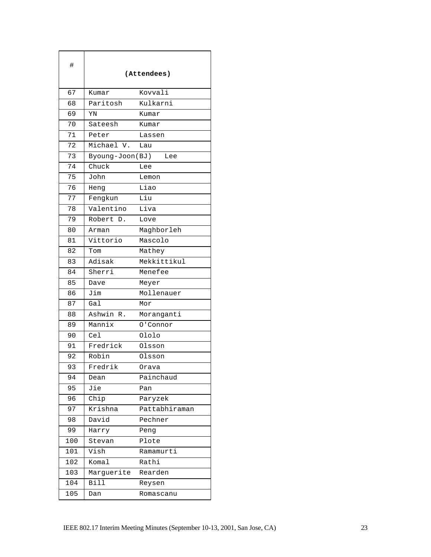| #               | (Attendees)     |               |
|-----------------|-----------------|---------------|
| 67              | Kumar           | Kovvali       |
| 68              | Paritosh        | Kulkarni      |
| 69              | YN              | Kumar         |
| 70              | Sateesh         | Kumar         |
| 71              | Peter           | Lassen        |
| 72              | Michael V.      | Lau           |
| 73              | Byoung-Joon(BJ) | Lee           |
| 74              | Chuck           | Lee           |
| $\overline{7}5$ | John            | Lemon         |
| 76              | Heng            | Liao          |
| 77              | Fengkun         | Liu           |
| 78              | Valentino       | Liva          |
| 79              | Robert D.       | Love          |
| 80              | Arman           | Maghborleh    |
| 81              | Vittorio        | Mascolo       |
| 82              | Tom             | Mathey        |
| 83              | Adisak          | Mekkittikul   |
| 84              | Sherri          | Menefee       |
| 85              | Dave            | Meyer         |
| 86              | Jim             | Mollenauer    |
| 87              | Gal             | Mor           |
| 88              | Ashwin<br>R.    | Moranganti    |
| 89              | Mannix          | 0'Connor      |
| 90              | Cel             | Ololo         |
| 91              | Fredrick        | Olsson        |
| 92              | Robin           | Olsson        |
| 93              | Fredrik         | Orava         |
| 94              | Dean            | Painchaud     |
| 95              | Jie             | Pan           |
| 96              | Chip            | Paryzek       |
| 97              | Krishna         | Pattabhiraman |
| 98              | David           | Pechner       |
| 99              | Harry           | Peng          |
| 100             | Stevan          | Plote         |
| 101             | Vish            | Ramamurti     |
| 102             | Komal           | Rathi         |
| 103             | Marguerite      | Rearden       |
| 104             | Bill            | Reysen        |
| 105             | Dan             | Romascanu     |